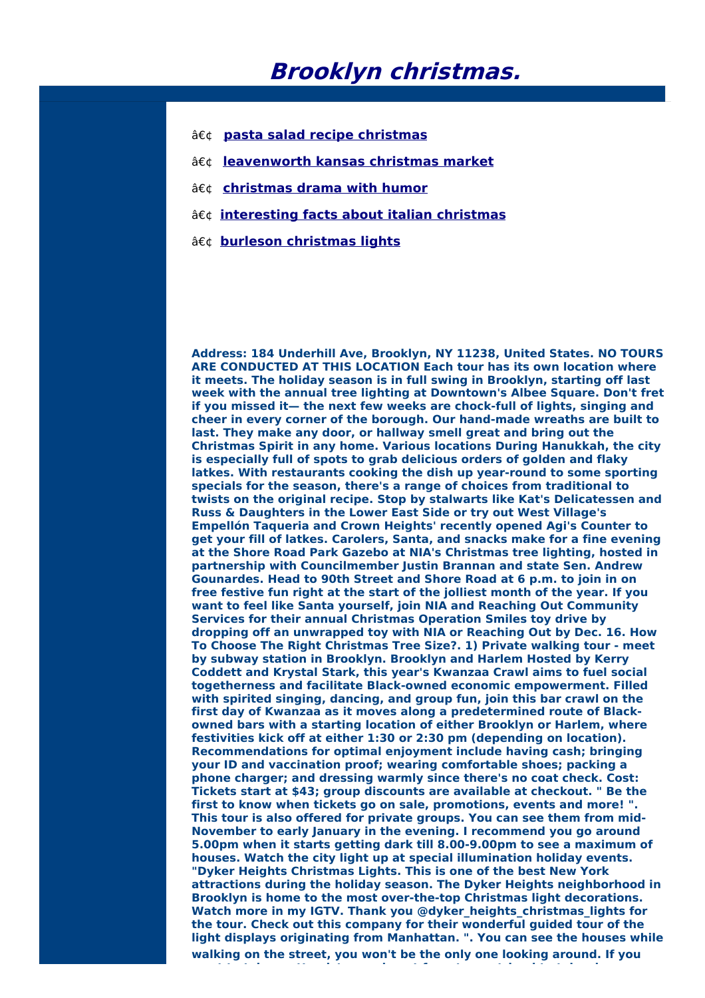## **Brooklyn christmas.**

- **pasta salad recipe [christmas](http://foto-ms.pl/detail/news/333412/chrismas/)**
- **[leavenworth](http://foto-ms.pl/detail/news/198459/chrismas/) kansas christmas market**
- **•** [christmas](http://foto-ms.pl/detail/news/730624/chrismas/) drama with humor
- **[interesting](http://foto-ms.pl/detail/news/789647/chrismas/) facts about italian christmas**
- **burleson [christmas](http://foto-ms.pl/detail/news/848992/chrismas/) lights**

**Address: 184 Underhill Ave, Brooklyn, NY 11238, United States. NO TOURS ARE CONDUCTED AT THIS LOCATION Each tour has its own location where it meets. The holiday season is in full swing in Brooklyn, starting off last week with the annual tree lighting at Downtown's Albee Square. Don't fret if you missed it— the next few weeks are chock-full of lights, singing and cheer in every corner of the borough. Our hand-made wreaths are built to last. They make any door, or hallway smell great and bring out the Christmas Spirit in any home. Various locations During Hanukkah, the city is especially full of spots to grab delicious orders of golden and flaky latkes. With restaurants cooking the dish up year-round to some sporting specials for the season, there's a range of choices from traditional to twists on the original recipe. Stop by stalwarts like Kat's Delicatessen and Russ & Daughters in the Lower East Side or try out West Village's Empellón Taqueria and Crown Heights' recently opened Agi's Counter to get your fill of latkes. Carolers, Santa, and snacks make for a fine evening at the Shore Road Park Gazebo at NIA's Christmas tree lighting, hosted in partnership with Councilmember Justin Brannan and state Sen. Andrew Gounardes. Head to 90th Street and Shore Road at 6 p.m. to join in on free festive fun right at the start of the jolliest month of the year. If you want to feel like Santa yourself, join NIA and Reaching Out Community Services for their annual Christmas Operation Smiles toy drive by dropping off an unwrapped toy with NIA or Reaching Out by Dec. 16. How To Choose The Right Christmas Tree Size?. 1) Private walking tour - meet by subway station in Brooklyn. Brooklyn and Harlem Hosted by Kerry Coddett and Krystal Stark, this year's Kwanzaa Crawl aims to fuel social togetherness and facilitate Black-owned economic empowerment. Filled with spirited singing, dancing, and group fun, join this bar crawl on the first day of Kwanzaa as it moves along a predetermined route of Blackowned bars with a starting location of either Brooklyn or Harlem, where festivities kick off at either 1:30 or 2:30 pm (depending on location). Recommendations for optimal enjoyment include having cash; bringing your ID and vaccination proof; wearing comfortable shoes; packing a phone charger; and dressing warmly since there's no coat check. Cost: Tickets start at \$43; group discounts are available at checkout. " Be the first to know when tickets go on sale, promotions, events and more! ". This tour is also offered for private groups. You can see them from mid-November to early January in the evening. I recommend you go around 5.00pm when it starts getting dark till 8.00-9.00pm to see a maximum of houses. Watch the city light up at special illumination holiday events. "Dyker Heights Christmas Lights. This is one of the best New York attractions during the holiday season. The Dyker Heights neighborhood in Brooklyn is home to the most over-the-top Christmas light decorations. Watch more in my IGTV. Thank you @dyker\_heights\_christmas\_lights for the tour. Check out this company for their wonderful guided tour of the light displays originating from Manhattan. ". You can see the houses while walking on the street, you won't be the only one looking around. If you**

**want to take pretty pictures, do not forget your tripod to take clear**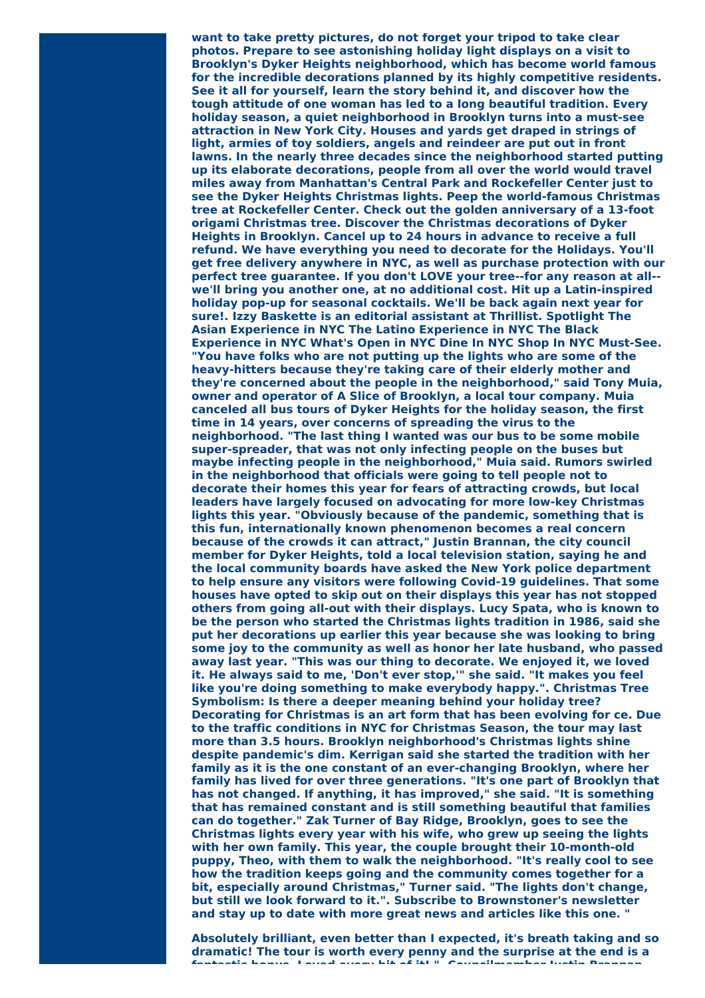**want to take pretty pictures, do not forget your tripod to take clear photos. Prepare to see astonishing holiday light displays on a visit to Brooklyn's Dyker Heights neighborhood, which has become world famous for the incredible decorations planned by its highly competitive residents. See it all for yourself, learn the story behind it, and discover how the tough attitude of one woman has led to a long beautiful tradition. Every holiday season, a quiet neighborhood in Brooklyn turns into a must-see attraction in New York City. Houses and yards get draped in strings of light, armies of toy soldiers, angels and reindeer are put out in front lawns. In the nearly three decades since the neighborhood started putting up its elaborate decorations, people from all over the world would travel miles away from Manhattan's Central Park and Rockefeller Center just to see the Dyker Heights Christmas lights. Peep the world-famous Christmas tree at Rockefeller Center. Check out the golden anniversary of a 13-foot origami Christmas tree. Discover the Christmas decorations of Dyker Heights in Brooklyn. Cancel up to 24 hours in advance to receive a full refund. We have everything you need to decorate for the Holidays. You'll get free delivery anywhere in NYC, as well as purchase protection with our perfect tree guarantee. If you don't LOVE your tree--for any reason at all- we'll bring you another one, at no additional cost. Hit up a Latin-inspired holiday pop-up for seasonal cocktails. We'll be back again next year for sure!. Izzy Baskette is an editorial assistant at Thrillist. Spotlight The Asian Experience in NYC The Latino Experience in NYC The Black Experience in NYC What's Open in NYC Dine In NYC Shop In NYC Must-See. "You have folks who are not putting up the lights who are some of the heavy-hitters because they're taking care of their elderly mother and they're concerned about the people in the neighborhood," said Tony Muia, owner and operator of A Slice of Brooklyn, a local tour company. Muia canceled all bus tours of Dyker Heights for the holiday season, the first time in 14 years, over concerns of spreading the virus to the neighborhood. "The last thing I wanted was our bus to be some mobile super-spreader, that was not only infecting people on the buses but maybe infecting people in the neighborhood," Muia said. Rumors swirled in the neighborhood that officials were going to tell people not to decorate their homes this year for fears of attracting crowds, but local leaders have largely focused on advocating for more low-key Christmas lights this year. "Obviously because of the pandemic, something that is this fun, internationally known phenomenon becomes a real concern because of the crowds it can attract," Justin Brannan, the city council member for Dyker Heights, told a local television station, saying he and the local community boards have asked the New York police department to help ensure any visitors were following Covid-19 guidelines. That some houses have opted to skip out on their displays this year has not stopped others from going all-out with their displays. Lucy Spata, who is known to be the person who started the Christmas lights tradition in 1986, said she put her decorations up earlier this year because she was looking to bring some joy to the community as well as honor her late husband, who passed away last year. "This was our thing to decorate. We enjoyed it, we loved it. He always said to me, 'Don't ever stop,'" she said. "It makes you feel like you're doing something to make everybody happy.". Christmas Tree Symbolism: Is there a deeper meaning behind your holiday tree? Decorating for Christmas is an art form that has been evolving for ce. Due to the traffic conditions in NYC for Christmas Season, the tour may last more than 3.5 hours. Brooklyn neighborhood's Christmas lights shine despite pandemic's dim. Kerrigan said she started the tradition with her family as it is the one constant of an ever-changing Brooklyn, where her family has lived for over three generations. "It's one part of Brooklyn that has not changed. If anything, it has improved," she said. "It is something that has remained constant and is still something beautiful that families can do together." Zak Turner of Bay Ridge, Brooklyn, goes to see the Christmas lights every year with his wife, who grew up seeing the lights with her own family. This year, the couple brought their 10-month-old puppy, Theo, with them to walk the neighborhood. "It's really cool to see how the tradition keeps going and the community comes together for a bit, especially around Christmas," Turner said. "The lights don't change, but still we look forward to it.". Subscribe to Brownstoner's newsletter and stay up to date with more great news and articles like this one. "**

**Absolutely brilliant, even better than I expected, it's breath taking and so dramatic! The tour is worth every penny and the surprise at the end is a fantastic bonus. Loved every bit of it! ". Councilmember Justin Brannan,**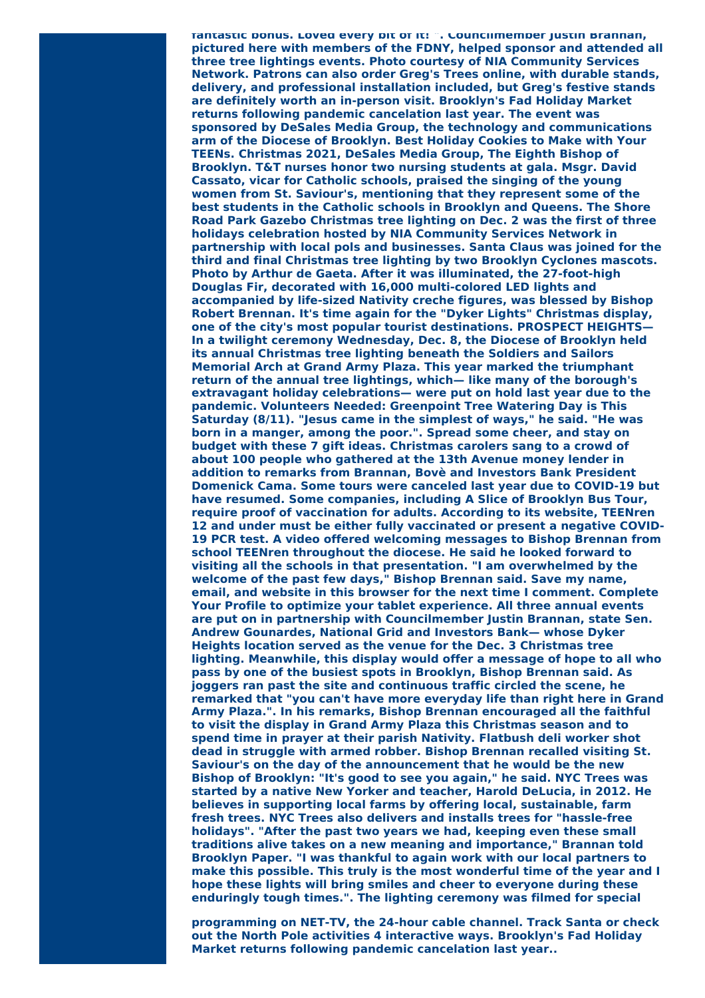**fantastic bonus. Loved every bit of it! ". Councilmember Justin Brannan, pictured here with members of the FDNY, helped sponsor and attended all three tree lightings events. Photo courtesy of NIA Community Services Network. Patrons can also order Greg's Trees online, with durable stands, delivery, and professional installation included, but Greg's festive stands are definitely worth an in-person visit. Brooklyn's Fad Holiday Market returns following pandemic cancelation last year. The event was sponsored by DeSales Media Group, the technology and communications arm of the Diocese of Brooklyn. Best Holiday Cookies to Make with Your TEENs. Christmas 2021, DeSales Media Group, The Eighth Bishop of Brooklyn. T&T nurses honor two nursing students at gala. Msgr. David Cassato, vicar for Catholic schools, praised the singing of the young women from St. Saviour's, mentioning that they represent some of the best students in the Catholic schools in Brooklyn and Queens. The Shore Road Park Gazebo Christmas tree lighting on Dec. 2 was the first of three holidays celebration hosted by NIA Community Services Network in partnership with local pols and businesses. Santa Claus was joined for the third and final Christmas tree lighting by two Brooklyn Cyclones mascots. Photo by Arthur de Gaeta. After it was illuminated, the 27-foot-high Douglas Fir, decorated with 16,000 multi-colored LED lights and accompanied by life-sized Nativity creche figures, was blessed by Bishop Robert Brennan. It's time again for the "Dyker Lights" Christmas display, one of the city's most popular tourist destinations. PROSPECT HEIGHTS— In a twilight ceremony Wednesday, Dec. 8, the Diocese of Brooklyn held its annual Christmas tree lighting beneath the Soldiers and Sailors Memorial Arch at Grand Army Plaza. This year marked the triumphant return of the annual tree lightings, which— like many of the borough's extravagant holiday celebrations— were put on hold last year due to the pandemic. Volunteers Needed: Greenpoint Tree Watering Day is This Saturday (8/11). "Jesus came in the simplest of ways," he said. "He was born in a manger, among the poor.". Spread some cheer, and stay on budget with these 7 gift ideas. Christmas carolers sang to a crowd of about 100 people who gathered at the 13th Avenue money lender in addition to remarks from Brannan, Bovè and Investors Bank President Domenick Cama. Some tours were canceled last year due to COVID-19 but have resumed. Some companies, including A Slice of Brooklyn Bus Tour, require proof of vaccination for adults. According to its website, TEENren 12 and under must be either fully vaccinated or present a negative COVID-19 PCR test. A video offered welcoming messages to Bishop Brennan from school TEENren throughout the diocese. He said he looked forward to visiting all the schools in that presentation. "I am overwhelmed by the welcome of the past few days," Bishop Brennan said. Save my name, email, and website in this browser for the next time I comment. Complete Your Profile to optimize your tablet experience. All three annual events are put on in partnership with Councilmember Justin Brannan, state Sen. Andrew Gounardes, National Grid and Investors Bank— whose Dyker Heights location served as the venue for the Dec. 3 Christmas tree lighting. Meanwhile, this display would offer a message of hope to all who pass by one of the busiest spots in Brooklyn, Bishop Brennan said. As joggers ran past the site and continuous traffic circled the scene, he remarked that "you can't have more everyday life than right here in Grand Army Plaza.". In his remarks, Bishop Brennan encouraged all the faithful to visit the display in Grand Army Plaza this Christmas season and to spend time in prayer at their parish Nativity. Flatbush deli worker shot dead in struggle with armed robber. Bishop Brennan recalled visiting St. Saviour's on the day of the announcement that he would be the new Bishop of Brooklyn: "It's good to see you again," he said. NYC Trees was started by a native New Yorker and teacher, Harold DeLucia, in 2012. He believes in supporting local farms by offering local, sustainable, farm fresh trees. NYC Trees also delivers and installs trees for "hassle-free holidays". "After the past two years we had, keeping even these small traditions alive takes on a new meaning and importance," Brannan told Brooklyn Paper. "I was thankful to again work with our local partners to make this possible. This truly is the most wonderful time of the year and I hope these lights will bring smiles and cheer to everyone during these enduringly tough times.". The lighting ceremony was filmed for special**

**programming on NET-TV, the 24-hour cable channel. Track Santa or check out the North Pole activities 4 interactive ways. Brooklyn's Fad Holiday Market returns following pandemic cancelation last year..**